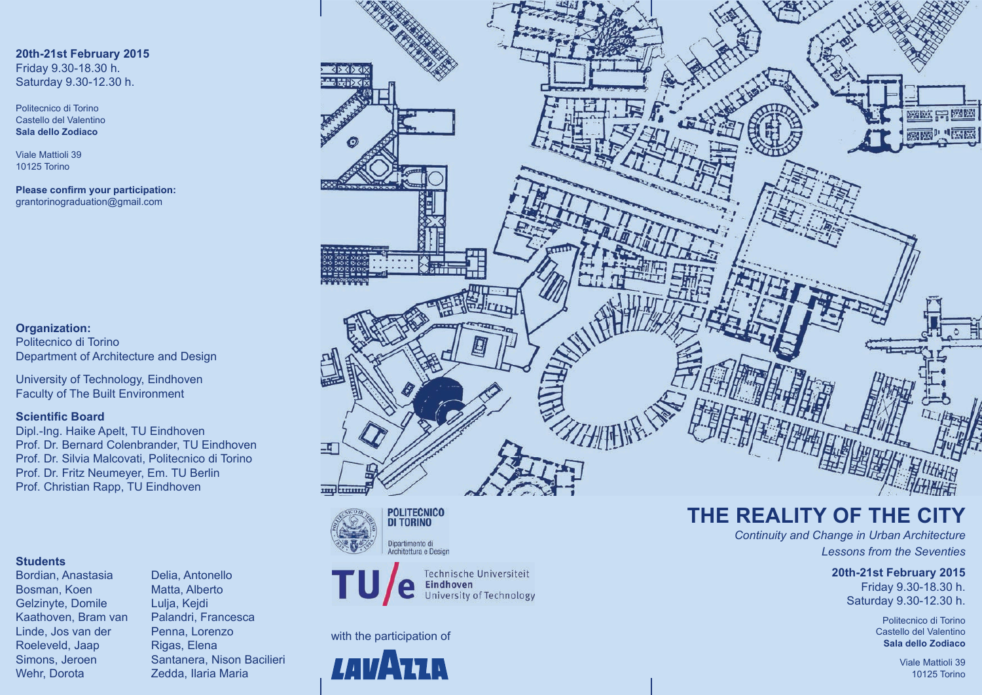#### **20th-21st February 2015** Friday 9.30-18.30 h. Saturday 9.30-12.30 h.

Politecnico di Torino Castello del Valentino **Sala dello Zodiaco**

Viale Mattioli 39 10125 Torino

**Please confirm your participation:** grantorinograduation@gmail.com

#### **Organization:**

Politecnico di Torino Department of Architecture and Design

University of Technology, Eindhoven Faculty of The Built Environment

#### **Scientific Board**

Dipl.-Ing. Haike Apelt, TU Eindhoven Prof. Dr. Bernard Colenbrander, TU Eindhoven Prof. Dr. Silvia Malcovati, Politecnico di Torino Prof. Dr. Fritz Neumeyer, Em. TU Berlin Prof. Christian Rapp, TU Eindhoven

#### **Students**

Bordian, Anastasia Delia, Antonello Bosman, Koen Matta, Alberto Gelzinyte, Domile Lulja, Kejdi Kaathoven, Bram van Palandri, Francesca Linde, Jos van der Penna, Lorenzo Roeleveld, Jaap Rigas, Elena Wehr, Dorota **Zedda, Ilaria Maria** 

Simons, Jeroen Santanera, Nison Bacilieri









#### with the participation of



# **THE REALITY OF THE CITY**

*Continuity and Change in Urban Architecture Lessons from the Seventies*

#### **20th-21st February 2015**

Friday 9.30-18.30 h. Saturday 9.30-12.30 h.

> Politecnico di Torino Castello del Valentino **Sala dello Zodiaco**

> > Viale Mattioli 39 10125 Torino